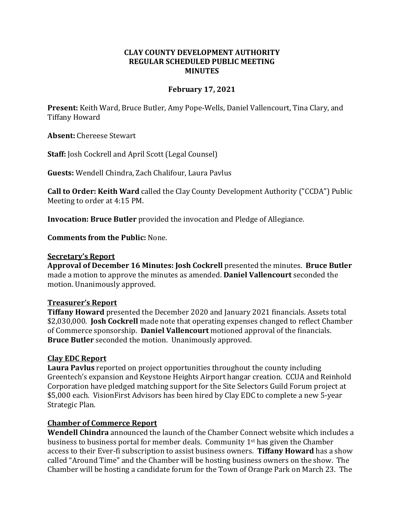### **CLAY COUNTY DEVELOPMENT AUTHORITY REGULAR SCHEDULED PUBLIC MEETING MINUTES**

### **February 17, 2021**

**Present:** Keith Ward, Bruce Butler, Amy Pope-Wells, Daniel Vallencourt, Tina Clary, and Tiffany Howard

**Absent:** Chereese Stewart

**Staff:** Josh Cockrell and April Scott (Legal Counsel)

**Guests:** Wendell Chindra, Zach Chalifour, Laura Pavlus

**Call to Order: Keith Ward** called the Clay County Development Authority ("CCDA") Public Meeting to order at 4:15 PM.

**Invocation: Bruce Butler** provided the invocation and Pledge of Allegiance.

**Comments from the Public:** None.

#### **Secretary's Report**

**Approval of December 16 Minutes: Josh Cockrell** presented the minutes. **Bruce Butler**  made a motion to approve the minutes as amended. **Daniel Vallencourt** seconded the motion. Unanimously approved.

### **Treasurer's Report**

**Tiffany Howard** presented the December 2020 and January 2021 financials. Assets total \$2,030,000. **Josh Cockrell** made note that operating expenses changed to reflect Chamber of Commerce sponsorship. **Daniel Vallencourt** motioned approval of the financials. **Bruce Butler** seconded the motion. Unanimously approved.

### **Clay EDC Report**

**Laura Pavlus** reported on project opportunities throughout the county including Greentech's expansion and Keystone Heights Airport hangar creation. CCUA and Reinhold Corporation have pledged matching support for the Site Selectors Guild Forum project at \$5,000 each. VisionFirst Advisors has been hired by Clay EDC to complete a new 5-year Strategic Plan.

### **Chamber of Commerce Report**

**Wendell Chindra** announced the launch of the Chamber Connect website which includes a business to business portal for member deals. Community  $1<sup>st</sup>$  has given the Chamber access to their Ever-fi subscription to assist business owners. **Tiffany Howard** has a show called "Around Time" and the Chamber will be hosting business owners on the show. The Chamber will be hosting a candidate forum for the Town of Orange Park on March 23. The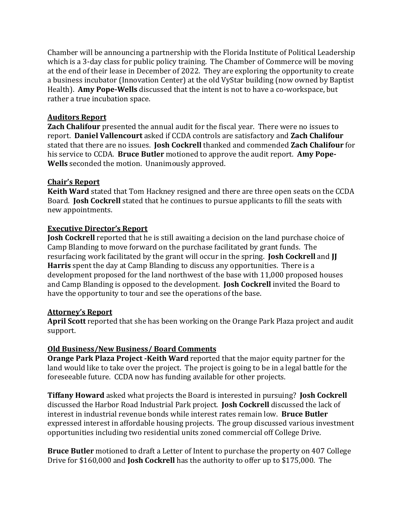Chamber will be announcing a partnership with the Florida Institute of Political Leadership which is a 3-day class for public policy training. The Chamber of Commerce will be moving at the end of their lease in December of 2022. They are exploring the opportunity to create a business incubator (Innovation Center) at the old VyStar building (now owned by Baptist Health). **Amy Pope-Wells** discussed that the intent is not to have a co-workspace, but rather a true incubation space.

## **Auditors Report**

**Zach Chalifour** presented the annual audit for the fiscal year. There were no issues to report. **Daniel Vallencourt** asked if CCDA controls are satisfactory and **Zach Chalifour** stated that there are no issues. **Josh Cockrell** thanked and commended **Zach Chalifour** for his service to CCDA. **Bruce Butler** motioned to approve the audit report. **Amy Pope-Wells** seconded the motion. Unanimously approved.

# **Chair's Report**

**Keith Ward** stated that Tom Hackney resigned and there are three open seats on the CCDA Board. **Josh Cockrell** stated that he continues to pursue applicants to fill the seats with new appointments.

## **Executive Director's Report**

**Josh Cockrell** reported that he is still awaiting a decision on the land purchase choice of Camp Blanding to move forward on the purchase facilitated by grant funds. The resurfacing work facilitated by the grant will occur in the spring. **Josh Cockrell** and **JJ Harris** spent the day at Camp Blanding to discuss any opportunities. There is a development proposed for the land northwest of the base with 11,000 proposed houses and Camp Blanding is opposed to the development. **Josh Cockrell** invited the Board to have the opportunity to tour and see the operations of the base.

## **Attorney's Report**

**April Scott** reported that she has been working on the Orange Park Plaza project and audit support.

## **Old Business/New Business/ Board Comments**

**Orange Park Plaza Project -Keith Ward** reported that the major equity partner for the land would like to take over the project. The project is going to be in a legal battle for the foreseeable future. CCDA now has funding available for other projects.

**Tiffany Howard** asked what projects the Board is interested in pursuing? **Josh Cockrell** discussed the Harbor Road Industrial Park project. **Josh Cockrell** discussed the lack of interest in industrial revenue bonds while interest rates remain low. **Bruce Butler**  expressed interest in affordable housing projects. The group discussed various investment opportunities including two residential units zoned commercial off College Drive.

**Bruce Butler** motioned to draft a Letter of Intent to purchase the property on 407 College Drive for \$160,000 and **Josh Cockrell** has the authority to offer up to \$175,000. The